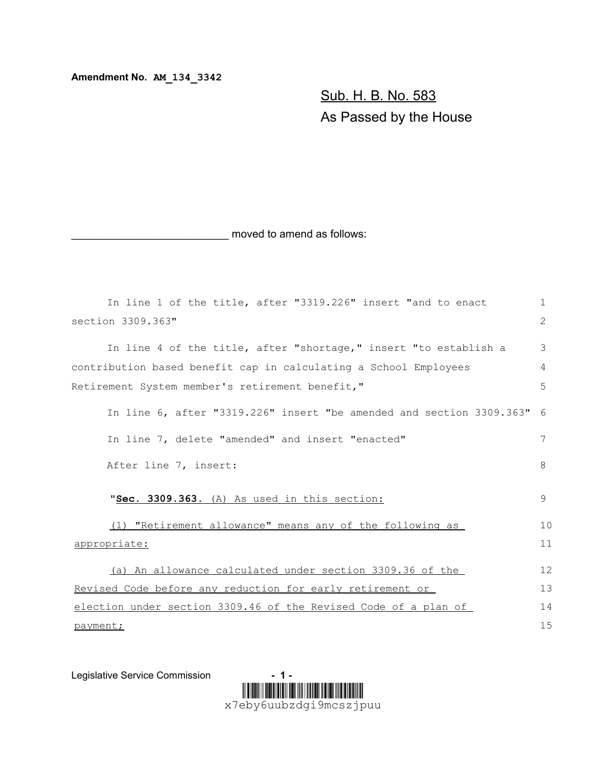**Amendment No. AM\_134\_3342**

Sub. H. B. No. 583 As Passed by the House

moved to amend as follows:

| In line 1 of the title, after "3319.226" insert "and to enact          | $\mathbf{1}$ |
|------------------------------------------------------------------------|--------------|
| section 3309.363"                                                      | 2            |
| In line 4 of the title, after "shortage," insert "to establish a       | 3            |
| contribution based benefit cap in calculating a School Employees       | 4            |
| Retirement System member's retirement benefit,"                        | 5            |
| In line 6, after "3319.226" insert "be amended and section 3309.363" 6 |              |
| In line 7, delete "amended" and insert "enacted"                       | 7            |
| After line 7, insert:                                                  | 8            |
| "Sec. 3309.363. (A) As used in this section:                           | 9            |
| (1) "Retirement allowance" means any of the following as               | 10           |
| appropriate:                                                           | 11           |
| (a) An allowance calculated under section 3309.36 of the               | 12           |
| Revised Code before any reduction for early retirement or              | 13           |
| election under section 3309.46 of the Revised Code of a plan of        | 14           |
| payment;                                                               | 15           |

Legislative Service Commission **- 1 -** 

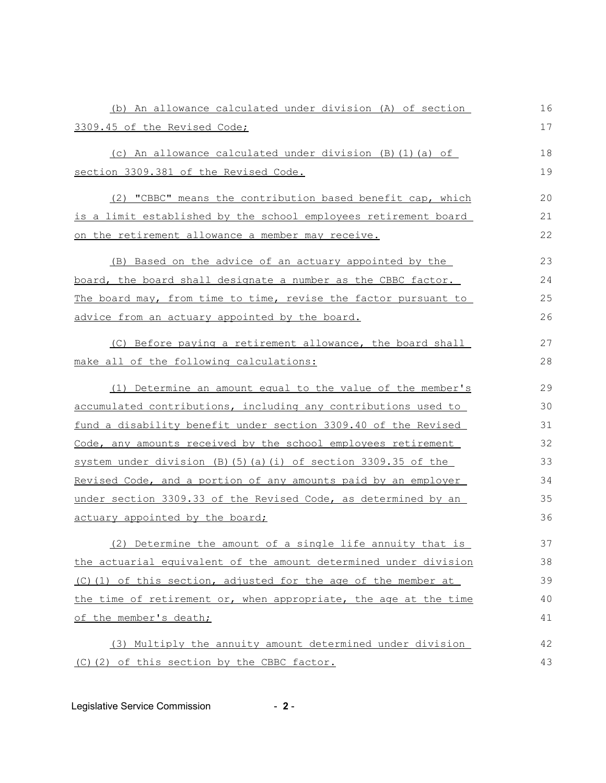| (b) An allowance calculated under division (A) of section        | 16 |
|------------------------------------------------------------------|----|
| 3309.45 of the Revised Code;                                     | 17 |
| (c) An allowance calculated under division (B) (1) (a) of        | 18 |
| section 3309.381 of the Revised Code.                            | 19 |
| (2) "CBBC" means the contribution based benefit cap, which       | 20 |
| is a limit established by the school employees retirement board  | 21 |
| on the retirement allowance a member may receive.                | 22 |
| (B) Based on the advice of an actuary appointed by the           | 23 |
| board, the board shall designate a number as the CBBC factor.    | 24 |
| The board may, from time to time, revise the factor pursuant to  | 25 |
| advice from an actuary appointed by the board.                   | 26 |
| (C) Before paying a retirement allowance, the board shall        | 27 |
| make all of the following calculations:                          | 28 |
| (1) Determine an amount equal to the value of the member's       | 29 |
| accumulated contributions, including any contributions used to   | 30 |
| fund a disability benefit under section 3309.40 of the Revised   | 31 |
| Code, any amounts received by the school employees retirement    | 32 |
| system under division (B) (5) (a) (i) of section 3309.35 of the  | 33 |
| Revised Code, and a portion of any amounts paid by an employer   | 34 |
| under section 3309.33 of the Revised Code, as determined by an   | 35 |
| actuary appointed by the board;                                  | 36 |
| (2) Determine the amount of a single life annuity that is        | 37 |
| the actuarial equivalent of the amount determined under division | 38 |
| (C)(1) of this section, adjusted for the age of the member at    | 39 |
| the time of retirement or, when appropriate, the age at the time | 40 |
| of the member's death;                                           | 41 |
| (3) Multiply the annuity amount determined under division        | 42 |
| (C)(2) of this section by the CBBC factor.                       | 43 |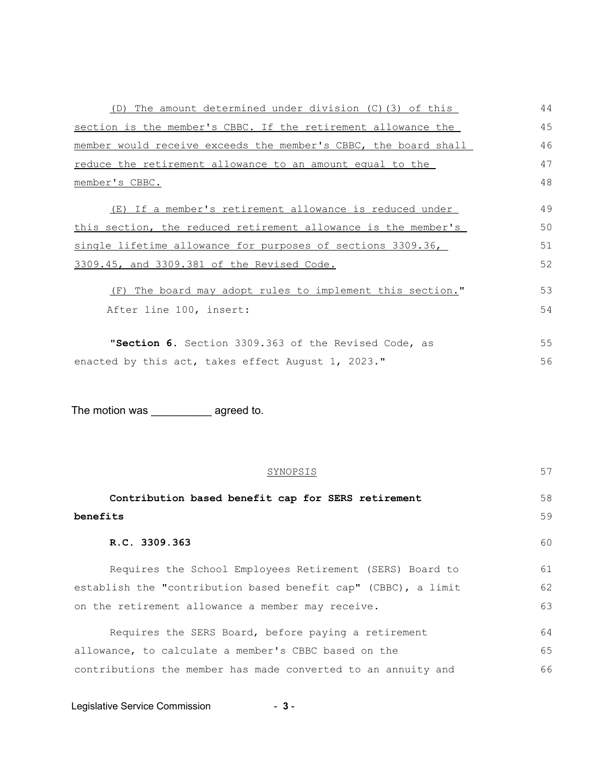| (D) The amount determined under division (C) (3) of this        | 44 |
|-----------------------------------------------------------------|----|
| section is the member's CBBC. If the retirement allowance the   | 45 |
| member would receive exceeds the member's CBBC, the board shall | 46 |
| reduce the retirement allowance to an amount equal to the       | 47 |
| member's CBBC.                                                  | 48 |
| (E) If a member's retirement allowance is reduced under         | 49 |
| this section, the reduced retirement allowance is the member's  | 50 |
| single lifetime allowance for purposes of sections 3309.36,     | 51 |
| 3309.45, and 3309.381 of the Revised Code.                      | 52 |
| (F) The board may adopt rules to implement this section."       | 53 |
| After line 100, insert:                                         | 54 |
|                                                                 |    |
| "Section 6. Section 3309.363 of the Revised Code, as            | 55 |
| enacted by this act, takes effect August 1, 2023."              | 56 |

The motion was \_\_\_\_\_\_\_\_\_\_\_ agreed to.

| SYNOPSIS                                                       | 57 |
|----------------------------------------------------------------|----|
| Contribution based benefit cap for SERS retirement             | 58 |
| benefits                                                       | 59 |
| R.C. 3309.363                                                  | 60 |
| Requires the School Employees Retirement (SERS) Board to       | 61 |
| establish the "contribution based benefit cap" (CBBC), a limit | 62 |
| on the retirement allowance a member may receive.              | 63 |
| Requires the SERS Board, before paying a retirement            | 64 |
| allowance, to calculate a member's CBBC based on the           | 65 |
| contributions the member has made converted to an annuity and  | 66 |

Legislative Service Commission **4** - **3** -